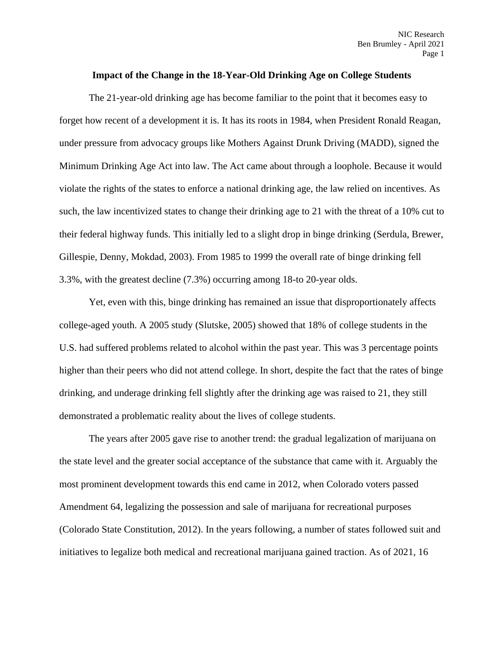## **Impact of the Change in the 18-Year-Old Drinking Age on College Students**

The 21-year-old drinking age has become familiar to the point that it becomes easy to forget how recent of a development it is. It has its roots in 1984, when President Ronald Reagan, under pressure from advocacy groups like Mothers Against Drunk Driving (MADD), signed the Minimum Drinking Age Act into law. The Act came about through a loophole. Because it would violate the rights of the states to enforce a national drinking age, the law relied on incentives. As such, the law incentivized states to change their drinking age to 21 with the threat of a 10% cut to their federal highway funds. This initially led to a slight drop in binge drinking (Serdula, Brewer, Gillespie, Denny, Mokdad, 2003). From 1985 to 1999 the overall rate of binge drinking fell 3.3%, with the greatest decline (7.3%) occurring among 18-to 20-year olds.

Yet, even with this, binge drinking has remained an issue that disproportionately affects college-aged youth. A 2005 study (Slutske, 2005) showed that 18% of college students in the U.S. had suffered problems related to alcohol within the past year. This was 3 percentage points higher than their peers who did not attend college. In short, despite the fact that the rates of binge drinking, and underage drinking fell slightly after the drinking age was raised to 21, they still demonstrated a problematic reality about the lives of college students.

The years after 2005 gave rise to another trend: the gradual legalization of marijuana on the state level and the greater social acceptance of the substance that came with it. Arguably the most prominent development towards this end came in 2012, when Colorado voters passed Amendment 64, legalizing the possession and sale of marijuana for recreational purposes (Colorado State Constitution, 2012). In the years following, a number of states followed suit and initiatives to legalize both medical and recreational marijuana gained traction. As of 2021, 16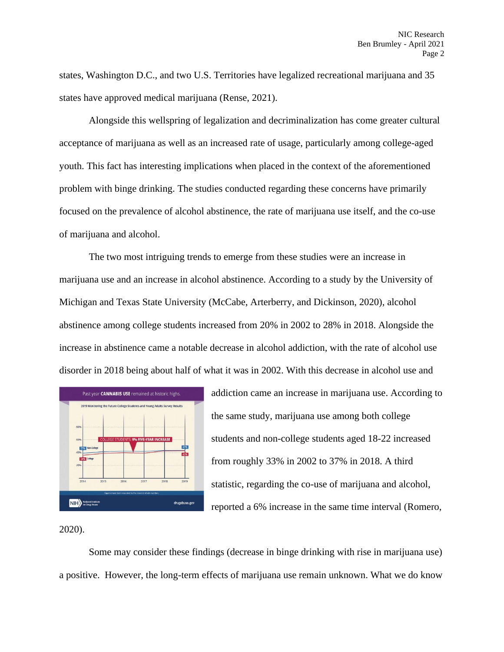states, Washington D.C., and two U.S. Territories have legalized recreational marijuana and 35 states have approved medical marijuana (Rense, 2021).

Alongside this wellspring of legalization and decriminalization has come greater cultural acceptance of marijuana as well as an increased rate of usage, particularly among college-aged youth. This fact has interesting implications when placed in the context of the aforementioned problem with binge drinking. The studies conducted regarding these concerns have primarily focused on the prevalence of alcohol abstinence, the rate of marijuana use itself, and the co-use of marijuana and alcohol.

The two most intriguing trends to emerge from these studies were an increase in marijuana use and an increase in alcohol abstinence. According to a study by the University of Michigan and Texas State University (McCabe, Arterberry, and Dickinson, 2020), alcohol abstinence among college students increased from 20% in 2002 to 28% in 2018. Alongside the increase in abstinence came a notable decrease in alcohol addiction, with the rate of alcohol use disorder in 2018 being about half of what it was in 2002. With this decrease in alcohol use and



addiction came an increase in marijuana use. According to the same study, marijuana use among both college students and non-college students aged 18-22 increased from roughly 33% in 2002 to 37% in 2018. A third statistic, regarding the co-use of marijuana and alcohol, reported a 6% increase in the same time interval (Romero,

2020).

Some may consider these findings (decrease in binge drinking with rise in marijuana use) a positive. However, the long-term effects of marijuana use remain unknown. What we do know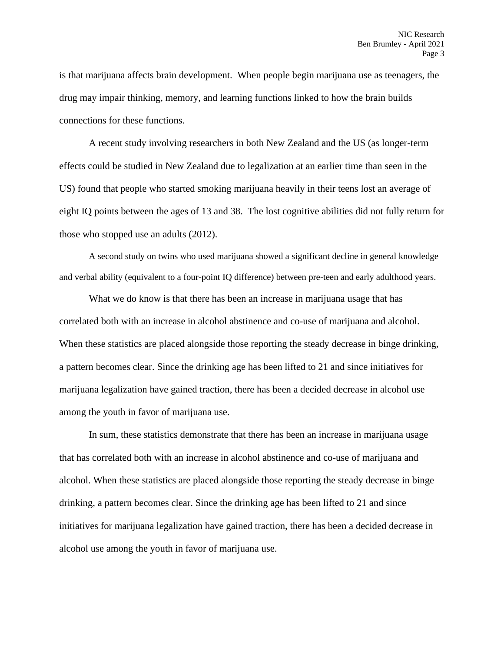is that marijuana affects brain development. When people begin marijuana use as teenagers, the drug may impair thinking, memory, and learning functions linked to how the brain builds connections for these functions.

A recent study involving researchers in both New Zealand and the US (as longer-term effects could be studied in New Zealand due to legalization at an earlier time than seen in the US) found that people who started smoking marijuana heavily in their teens lost an average of eight IQ points between the ages of 13 and 38. The lost cognitive abilities did not fully return for those who stopped use an adults (2012).

A second study on twins who used marijuana showed a significant decline in general knowledge and verbal ability (equivalent to a four-point IQ difference) between pre-teen and early adulthood years.

What we do know is that there has been an increase in marijuana usage that has correlated both with an increase in alcohol abstinence and co-use of marijuana and alcohol. When these statistics are placed alongside those reporting the steady decrease in binge drinking, a pattern becomes clear. Since the drinking age has been lifted to 21 and since initiatives for marijuana legalization have gained traction, there has been a decided decrease in alcohol use among the youth in favor of marijuana use.

In sum, these statistics demonstrate that there has been an increase in marijuana usage that has correlated both with an increase in alcohol abstinence and co-use of marijuana and alcohol. When these statistics are placed alongside those reporting the steady decrease in binge drinking, a pattern becomes clear. Since the drinking age has been lifted to 21 and since initiatives for marijuana legalization have gained traction, there has been a decided decrease in alcohol use among the youth in favor of marijuana use.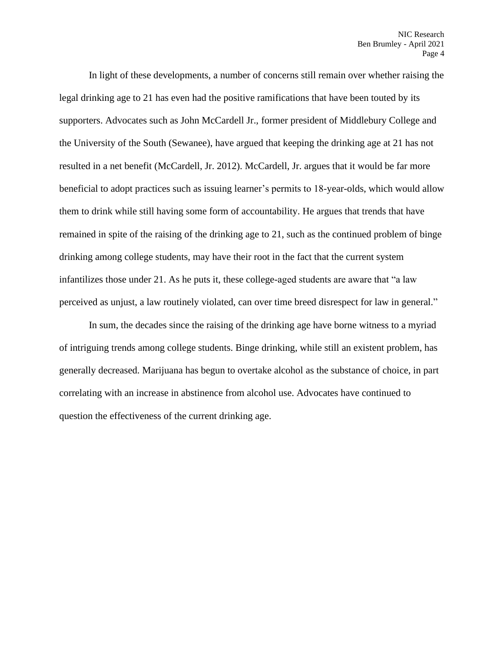In light of these developments, a number of concerns still remain over whether raising the legal drinking age to 21 has even had the positive ramifications that have been touted by its supporters. Advocates such as John McCardell Jr., former president of Middlebury College and the University of the South (Sewanee), have argued that keeping the drinking age at 21 has not resulted in a net benefit (McCardell, Jr. 2012). McCardell, Jr. argues that it would be far more beneficial to adopt practices such as issuing learner's permits to 18-year-olds, which would allow them to drink while still having some form of accountability. He argues that trends that have remained in spite of the raising of the drinking age to 21, such as the continued problem of binge drinking among college students, may have their root in the fact that the current system infantilizes those under 21. As he puts it, these college-aged students are aware that "a law perceived as unjust, a law routinely violated, can over time breed disrespect for law in general."

In sum, the decades since the raising of the drinking age have borne witness to a myriad of intriguing trends among college students. Binge drinking, while still an existent problem, has generally decreased. Marijuana has begun to overtake alcohol as the substance of choice, in part correlating with an increase in abstinence from alcohol use. Advocates have continued to question the effectiveness of the current drinking age.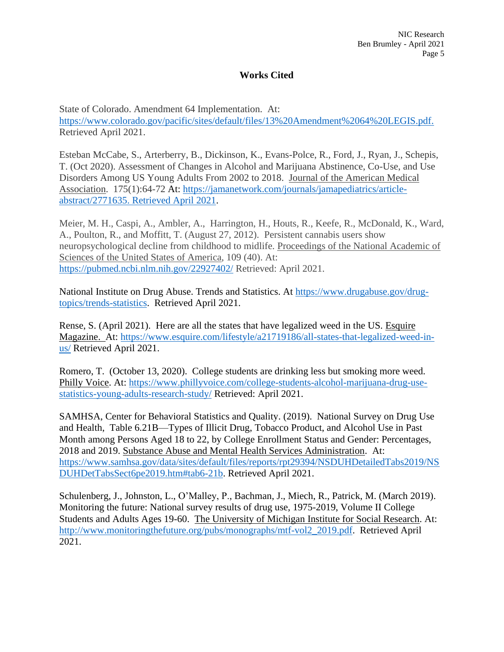## **Works Cited**

State of Colorado. Amendment 64 Implementation. At: [https://www.colorado.gov/pacific/sites/default/files/13%20Amendment%2064%20LEGIS.pdf.](https://www.colorado.gov/pacific/sites/default/files/13%20Amendment%2064%20LEGIS.pdf) Retrieved April 2021.

Esteban McCabe, S., Arterberry, B., Dickinson, K., Evans-Polce, R., Ford, J., Ryan, J., Schepis, T. (Oct 2020). Assessment of Changes in Alcohol and Marijuana Abstinence, Co-Use, and Use Disorders Among US Young Adults From 2002 to 2018. Journal of the American Medical Association. 175(1):64-72 At: [https://jamanetwork.com/journals/jamapediatrics/article](https://jamanetwork.com/journals/jamapediatrics/article-abstract/2771635.%20Retrieved%20April%202021)[abstract/2771635. Retrieved April 2021.](https://jamanetwork.com/journals/jamapediatrics/article-abstract/2771635.%20Retrieved%20April%202021)

Meier, M. H., Caspi, A., Ambler, A., Harrington, H., Houts, R., Keefe, R., McDonald, K., Ward, A., Poulton, R., and Moffitt, T. (August 27, 2012). Persistent cannabis users show neuropsychological decline from childhood to midlife. Proceedings of the National Academic of Sciences of the United States of America, 109 (40). At: <https://pubmed.ncbi.nlm.nih.gov/22927402/> Retrieved: April 2021.

National Institute on Drug Abuse. Trends and Statistics. At [https://www.drugabuse.gov/drug](https://www.drugabuse.gov/drug-topics/trends-statistics)[topics/trends-statistics.](https://www.drugabuse.gov/drug-topics/trends-statistics) Retrieved April 2021.

Rense, S. (April 2021). Here are all the states that have legalized weed in the US. Esquire Magazine. At: [https://www.esquire.com/lifestyle/a21719186/all-states-that-legalized-weed-in](https://www.esquire.com/lifestyle/a21719186/all-states-that-legalized-weed-in-us/)[us/](https://www.esquire.com/lifestyle/a21719186/all-states-that-legalized-weed-in-us/) Retrieved April 2021.

Romero, T. (October 13, 2020). College students are drinking less but smoking more weed. Philly Voice. At: [https://www.phillyvoice.com/college-students-alcohol-marijuana-drug-use](https://www.phillyvoice.com/college-students-alcohol-marijuana-drug-use-statistics-young-adults-research-study/)[statistics-young-adults-research-study/](https://www.phillyvoice.com/college-students-alcohol-marijuana-drug-use-statistics-young-adults-research-study/) Retrieved: April 2021.

SAMHSA, Center for Behavioral Statistics and Quality. (2019). National Survey on Drug Use and Health, Table 6.21B—Types of Illicit Drug, Tobacco Product, and Alcohol Use in Past Month among Persons Aged 18 to 22, by College Enrollment Status and Gender: Percentages, 2018 and 2019. Substance Abuse and Mental Health Services Administration. At: [https://www.samhsa.gov/data/sites/default/files/reports/rpt29394/NSDUHDetailedTabs2019/NS](https://www.samhsa.gov/data/sites/default/files/reports/rpt29394/NSDUHDetailedTabs2019/NSDUHDetTabsSect6pe2019.htm#tab6-21b) [DUHDetTabsSect6pe2019.htm#tab6-21b.](https://www.samhsa.gov/data/sites/default/files/reports/rpt29394/NSDUHDetailedTabs2019/NSDUHDetTabsSect6pe2019.htm#tab6-21b) Retrieved April 2021.

Schulenberg, J., Johnston, L., O'Malley, P., Bachman, J., Miech, R., Patrick, M. (March 2019). Monitoring the future: National survey results of drug use, 1975-2019, Volume II College Students and Adults Ages 19-60. The University of Michigan Institute for Social Research. At: [http://www.monitoringthefuture.org/pubs/monographs/mtf-vol2\\_2019.pdf.](http://www.monitoringthefuture.org/pubs/monographs/mtf-vol2_2019.pdf) Retrieved April 2021.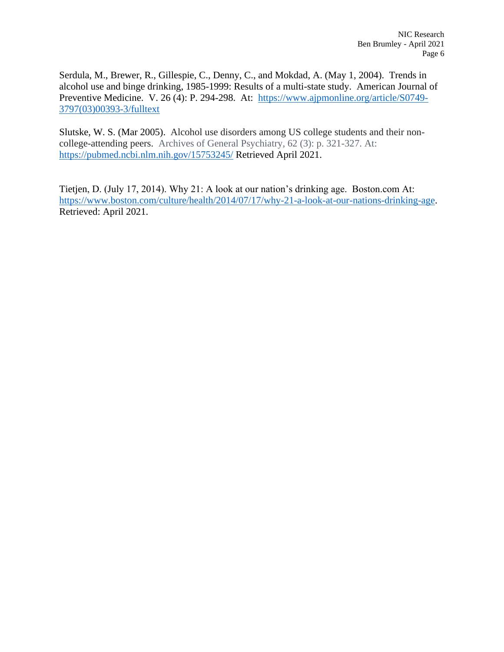Serdula, M., Brewer, R., Gillespie, C., Denny, C., and Mokdad, A. (May 1, 2004). Trends in alcohol use and binge drinking, 1985-1999: Results of a multi-state study. American Journal of Preventive Medicine. V. 26 (4): P. 294-298. At: [https://www.ajpmonline.org/article/S0749-](https://www.ajpmonline.org/article/S0749-3797(03)00393-3/fulltext) [3797\(03\)00393-3/fulltext](https://www.ajpmonline.org/article/S0749-3797(03)00393-3/fulltext)

Slutske, W. S. (Mar 2005). Alcohol use disorders among US college students and their noncollege-attending peers. Archives of General Psychiatry, 62 (3): p. 321-327. At: <https://pubmed.ncbi.nlm.nih.gov/15753245/> Retrieved April 2021.

Tietjen, D. (July 17, 2014). Why 21: A look at our nation's drinking age. Boston.com At: [https://www.boston.com/culture/health/2014/07/17/why-21-a-look-at-our-nations-drinking-age.](https://www.boston.com/culture/health/2014/07/17/why-21-a-look-at-our-nations-drinking-age) Retrieved: April 2021.